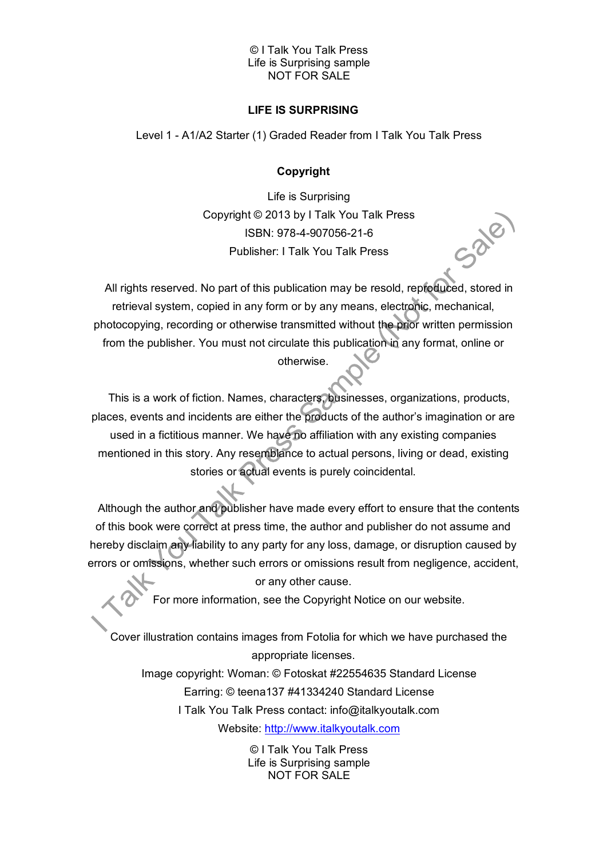### © I Talk You Talk Press Life is Surprising sample NOT FOR SALE

# **LIFE IS SURPRISING**

Level 1 - A1/A2 Starter (1) Graded Reader from I Talk You Talk Press

# **Copyright**

Life is Surprising Copyright © 2013 by I Talk You Talk Press ISBN: 978-4-907056-21-6 Publisher: I Talk You Talk Press

All rights reserved. No part of this publication may be resold, reproduced, stored in retrieval system, copied in any form or by any means, electronic, mechanical, photocopying, recording or otherwise transmitted without the prior written permission from the publisher. You must not circulate this publication in any format, online or otherwise.

This is a work of fiction. Names, characters, businesses, organizations, products, places, events and incidents are either the products of the author's imagination or are used in a fictitious manner. We have no affiliation with any existing companies mentioned in this story. Any resemblance to actual persons, living or dead, existing stories or actual events is purely coincidental.

Although the author and publisher have made every effort to ensure that the contents of this book were correct at press time, the author and publisher do not assume and hereby disclaim any liability to any party for any loss, damage, or disruption caused by errors or omissions, whether such errors or omissions result from negligence, accident,

or any other cause.

For more information, see the Copyright Notice on our website.

Cover illustration contains images from Fotolia for which we have purchased the appropriate licenses.

Image copyright: Woman: © Fotoskat #22554635 Standard License Earring: © teena137 #41334240 Standard License I Talk You Talk Press contact: info@italkyoutalk.com

Website: [http://www.italkyoutalk.com](http://www.italkyoutalk.com/)

© I Talk You Talk Press Life is Surprising sample NOT FOR SALE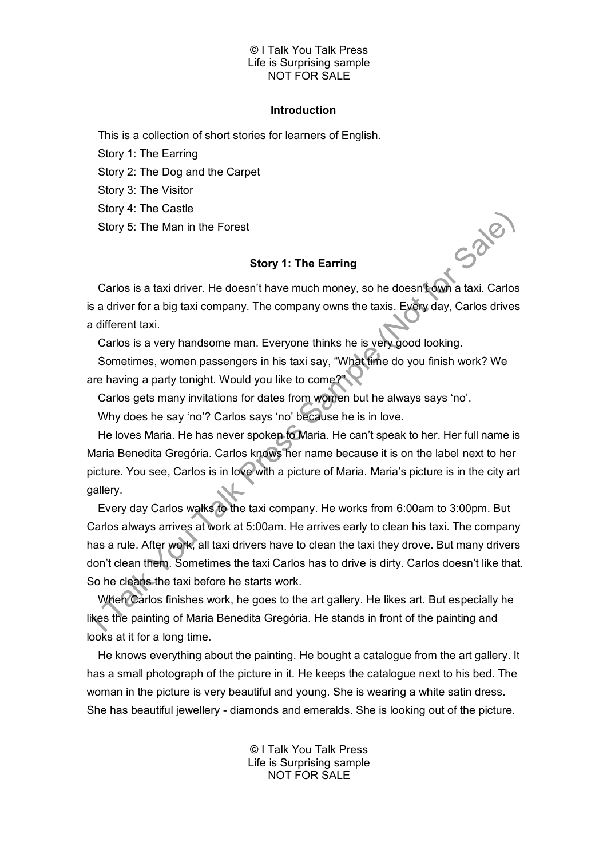### © I Talk You Talk Press Life is Surprising sample NOT FOR SALE

#### **Introduction**

This is a collection of short stories for learners of English.

Story 1: The Earring

Story 2: The Dog and the Carpet

Story 3: The Visitor

Story 4: The Castle

Story 5: The Man in the Forest

## **Story 1: The Earring**

Sale

Carlos is a taxi driver. He doesn't have much money, so he doesn't own a taxi. Carlos is a driver for a big taxi company. The company owns the taxis. Every day, Carlos drives a different taxi.

Carlos is a very handsome man. Everyone thinks he is very good looking.

Sometimes, women passengers in his taxi say, "What time do you finish work? We are having a party tonight. Would you like to come?

Carlos gets many invitations for dates from women but he always says 'no'.

Why does he say 'no'? Carlos says 'no' because he is in love.

He loves Maria. He has never spoken to Maria. He can't speak to her. Her full name is Maria Benedita Gregória. Carlos knows her name because it is on the label next to her picture. You see, Carlos is in love with a picture of Maria. Maria's picture is in the city art gallery.

Every day Carlos walks to the taxi company. He works from 6:00am to 3:00pm. But Carlos always arrives at work at 5:00am. He arrives early to clean his taxi. The company has a rule. After work, all taxi drivers have to clean the taxi they drove. But many drivers don't clean them. Sometimes the taxi Carlos has to drive is dirty. Carlos doesn't like that. So he cleans the taxi before he starts work.

When Carlos finishes work, he goes to the art gallery. He likes art. But especially he likes the painting of Maria Benedita Gregória. He stands in front of the painting and looks at it for a long time.

He knows everything about the painting. He bought a catalogue from the art gallery. It has a small photograph of the picture in it. He keeps the catalogue next to his bed. The woman in the picture is very beautiful and young. She is wearing a white satin dress. She has beautiful jewellery - diamonds and emeralds. She is looking out of the picture.

> © I Talk You Talk Press Life is Surprising sample NOT FOR SALE